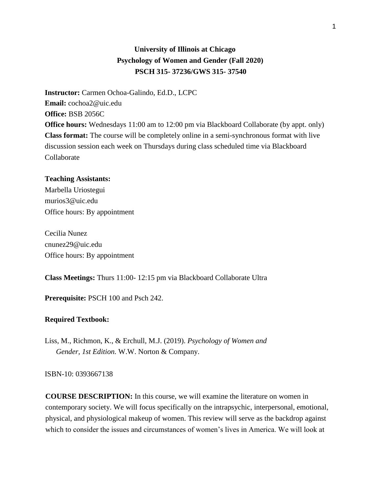# **University of Illinois at Chicago Psychology of Women and Gender (Fall 2020) PSCH 315- 37236/GWS 315- 37540**

**Instructor:** Carmen Ochoa-Galindo, Ed.D., LCPC **Email:** cochoa2@uic.edu **Office:** BSB 2056C **Office hours:** Wednesdays 11:00 am to 12:00 pm via Blackboard Collaborate (by appt. only) **Class format:** The course will be completely online in a semi-synchronous format with live discussion session each week on Thursdays during class scheduled time via Blackboard Collaborate

### **Teaching Assistants:**

Marbella Uriostegui murios3@uic.edu Office hours: By appointment

Cecilia Nunez cnunez29@uic.edu Office hours: By appointment

**Class Meetings:** Thurs 11:00- 12:15 pm via Blackboard Collaborate Ultra

**Prerequisite:** PSCH 100 and Psch 242.

### **Required Textbook:**

Liss, M., Richmon, K., & Erchull, M.J. (2019). *Psychology of Women and Gender, 1st Edition.* W.W. Norton & Company.

ISBN-10: 0393667138

**COURSE DESCRIPTION:** In this course, we will examine the literature on women in contemporary society. We will focus specifically on the intrapsychic, interpersonal, emotional, physical, and physiological makeup of women. This review will serve as the backdrop against which to consider the issues and circumstances of women's lives in America. We will look at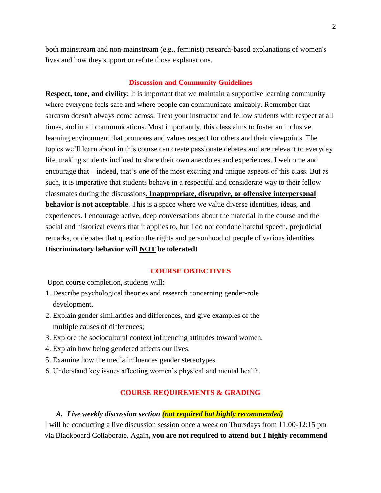both mainstream and non-mainstream (e.g., feminist) research-based explanations of women's lives and how they support or refute those explanations.

### **Discussion and Community Guidelines**

**Respect, tone, and civility**: It is important that we maintain a supportive learning community where everyone feels safe and where people can communicate amicably. Remember that sarcasm doesn't always come across. Treat your instructor and fellow students with respect at all times, and in all communications. Most importantly, this class aims to foster an inclusive learning environment that promotes and values respect for others and their viewpoints. The topics we'll learn about in this course can create passionate debates and are relevant to everyday life, making students inclined to share their own anecdotes and experiences. I welcome and encourage that – indeed, that's one of the most exciting and unique aspects of this class. But as such, it is imperative that students behave in a respectful and considerate way to their fellow classmates during the discussions**. Inappropriate, disruptive, or offensive interpersonal behavior is not acceptable**. This is a space where we value diverse identities, ideas, and experiences. I encourage active, deep conversations about the material in the course and the social and historical events that it applies to, but I do not condone hateful speech, prejudicial remarks, or debates that question the rights and personhood of people of various identities. **Discriminatory behavior will NOT be tolerated!**

### **COURSE OBJECTIVES**

Upon course completion, students will:

- 1. Describe psychological theories and research concerning gender-role development.
- 2. Explain gender similarities and differences, and give examples of the multiple causes of differences;
- 3. Explore the sociocultural context influencing attitudes toward women.
- 4. Explain how being gendered affects our lives.
- 5. Examine how the media influences gender stereotypes.
- 6. Understand key issues affecting women's physical and mental health.

## **COURSE REQUIREMENTS & GRADING**

#### *A. Live weekly discussion section (not required but highly recommended)*

I will be conducting a live discussion session once a week on Thursdays from 11:00-12:15 pm via Blackboard Collaborate. Again**, you are not required to attend but I highly recommend**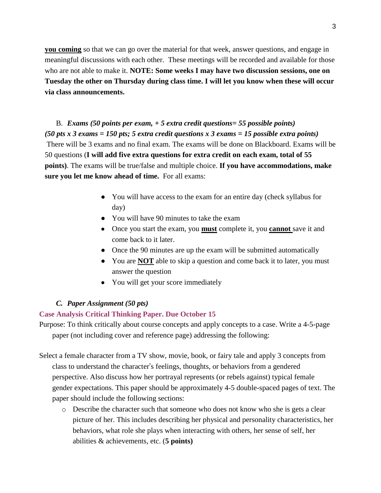**you coming** so that we can go over the material for that week, answer questions, and engage in meaningful discussions with each other. These meetings will be recorded and available for those who are not able to make it. **NOTE: Some weeks I may have two discussion sessions, one on Tuesday the other on Thursday during class time. I will let you know when these will occur via class announcements.**

B. *Exams (50 points per exam, + 5 extra credit questions= 55 possible points) (50 pts x 3 exams = 150 pts; 5 extra credit questions x 3 exams = 15 possible extra points)* There will be 3 exams and no final exam. The exams will be done on Blackboard. Exams will be 50 questions (**I will add five extra questions for extra credit on each exam, total of 55 points)**. The exams will be true/false and multiple choice. **If you have accommodations, make sure you let me know ahead of time.** For all exams:

- You will have access to the exam for an entire day (check syllabus for day)
- You will have 90 minutes to take the exam
- Once you start the exam, you **must** complete it, you **cannot** save it and come back to it later.
- Once the 90 minutes are up the exam will be submitted automatically
- You are **NOT** able to skip a question and come back it to later, you must answer the question
- You will get your score immediately

## *C. Paper Assignment (50 pts)*

## **Case Analysis Critical Thinking Paper. Due October 15**

Purpose: To think critically about course concepts and apply concepts to a case. Write a 4-5-page paper (not including cover and reference page) addressing the following:

- Select a female character from a TV show, movie, book, or fairy tale and apply 3 concepts from class to understand the character's feelings, thoughts, or behaviors from a gendered perspective. Also discuss how her portrayal represents (or rebels against) typical female gender expectations. This paper should be approximately 4-5 double-spaced pages of text. The paper should include the following sections:
	- o Describe the character such that someone who does not know who she is gets a clear picture of her. This includes describing her physical and personality characteristics, her behaviors, what role she plays when interacting with others, her sense of self, her abilities & achievements, etc. (**5 points)**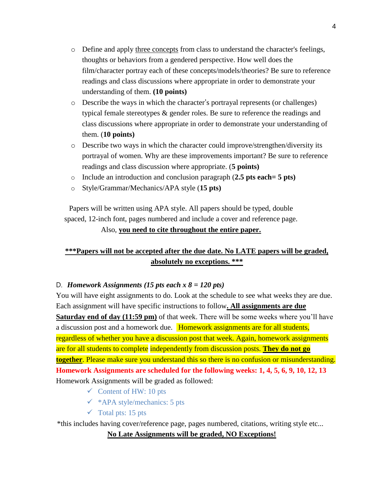- o Define and apply three concepts from class to understand the character's feelings, thoughts or behaviors from a gendered perspective. How well does the film/character portray each of these concepts/models/theories? Be sure to reference readings and class discussions where appropriate in order to demonstrate your understanding of them. **(10 points)**
- o Describe the ways in which the character's portrayal represents (or challenges) typical female stereotypes & gender roles. Be sure to reference the readings and class discussions where appropriate in order to demonstrate your understanding of them. (**10 points)**
- o Describe two ways in which the character could improve/strengthen/diversity its portrayal of women. Why are these improvements important? Be sure to reference readings and class discussion where appropriate. (**5 points)**
- o Include an introduction and conclusion paragraph (**2.5 pts each= 5 pts)**
- o Style/Grammar/Mechanics/APA style (**15 pts)**

Papers will be written using APA style. All papers should be typed, double spaced, 12-inch font, pages numbered and include a cover and reference page.

## Also, **you need to cite throughout the entire paper.**

# **\*\*\*Papers will not be accepted after the due date. No LATE papers will be graded, absolutely no exceptions. \*\*\***

## D. *Homework Assignments (15 pts each x 8 = 120 pts)*

You will have eight assignments to do. Look at the schedule to see what weeks they are due. Each assignment will have specific instructions to follow**. All assignments are due Saturday end of day (11:59 pm)** of that week. There will be some weeks where you'll have a discussion post and a homework due. Homework assignments are for all students, regardless of whether you have a discussion post that week. Again, homework assignments are for all students to complete independently from discussion posts. **They do not go together**. Please make sure you understand this so there is no confusion or misunderstanding. **Homework Assignments are scheduled for the following weeks: 1, 4, 5, 6, 9, 10, 12, 13** Homework Assignments will be graded as followed:

- $\checkmark$  Content of HW: 10 pts
- $\checkmark$  \*APA style/mechanics: 5 pts
- $\checkmark$  Total pts: 15 pts

\*this includes having cover/reference page, pages numbered, citations, writing style etc...

### **No Late Assignments will be graded, NO Exceptions!**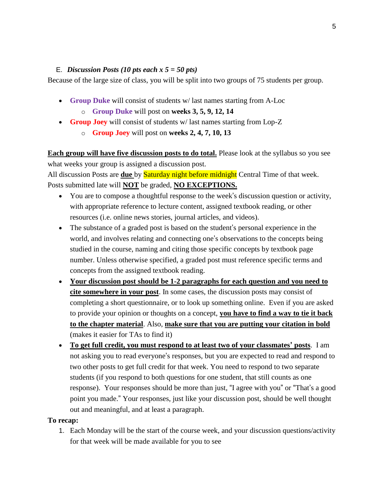## E. *Discussion Posts (10 pts each x 5 = 50 pts)*

Because of the large size of class, you will be split into two groups of 75 students per group.

- **Group Duke** will consist of students w/ last names starting from A-Loc
	- o **Group Duke** will post on **weeks 3, 5, 9, 12, 14**
- **Group Joey** will consist of students w/ last names starting from Lop-Z
	- o **Group Joey** will post on **weeks 2, 4, 7, 10, 13**

**Each group will have five discussion posts to do total.** Please look at the syllabus so you see what weeks your group is assigned a discussion post.

All discussion Posts are **due** by Saturday night before midnight Central Time of that week. Posts submitted late will **NOT** be graded, **NO EXCEPTIONS.** 

- You are to compose a thoughtful response to the week's discussion question or activity, with appropriate reference to lecture content, assigned textbook reading, or other resources (i.e. online news stories, journal articles, and videos).
- The substance of a graded post is based on the student's personal experience in the world, and involves relating and connecting one's observations to the concepts being studied in the course, naming and citing those specific concepts by textbook page number. Unless otherwise specified, a graded post must reference specific terms and concepts from the assigned textbook reading.
- **Your discussion post should be 1-2 paragraphs for each question and you need to cite somewhere in your post**. In some cases, the discussion posts may consist of completing a short questionnaire, or to look up something online. Even if you are asked to provide your opinion or thoughts on a concept, **you have to find a way to tie it back to the chapter material**. Also, **make sure that you are putting your citation in bold** (makes it easier for TAs to find it)
- **To get full credit, you must respond to at least two of your classmates' posts**. I am not asking you to read everyone's responses, but you are expected to read and respond to two other posts to get full credit for that week. You need to respond to two separate students (if you respond to both questions for one student, that still counts as one response). Your responses should be more than just, "I agree with you" or "That's a good point you made." Your responses, just like your discussion post, should be well thought out and meaningful, and at least a paragraph.

## **To recap:**

1. Each Monday will be the start of the course week, and your discussion questions/activity for that week will be made available for you to see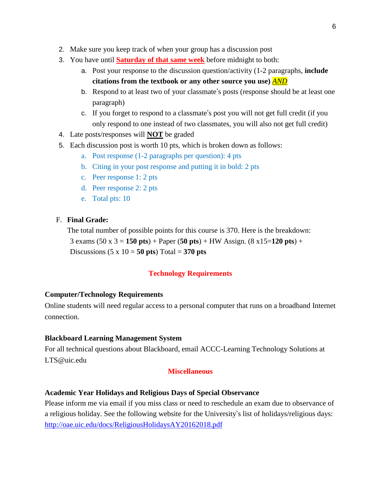- 2. Make sure you keep track of when your group has a discussion post
- 3. You have until **Saturday of that same week** before midnight to both:
	- a. Post your response to the discussion question/activity (1-2 paragraphs, **include citations from the textbook or any other source you use)** *AND*
	- b. Respond to at least two of your classmate's posts (response should be at least one paragraph)
	- c. If you forget to respond to a classmate's post you will not get full credit (if you only respond to one instead of two classmates, you will also not get full credit)
- 4. Late posts/responses will **NOT** be graded
- 5. Each discussion post is worth 10 pts, which is broken down as follows:
	- a. Post response (1-2 paragraphs per question): 4 pts
	- b. Citing in your post response and putting it in bold: 2 pts
	- c. Peer response 1: 2 pts
	- d. Peer response 2: 2 pts
	- e. Total pts: 10

## F. **Final Grade:**

The total number of possible points for this course is 370. Here is the breakdown: 3 exams (50 x 3 = **150 pts**) + Paper (**50 pts**) + HW Assign. (8 x15=**120 pts**) + Discussions  $(5 \times 10 = 50 \text{ pts}) \text{Total} = 370 \text{ pts}$ 

## **Technology Requirements**

### **Computer/Technology Requirements**

Online students will need regular access to a personal computer that runs on a broadband Internet connection.

## **Blackboard Learning Management System**

For all technical questions about Blackboard, email ACCC-Learning Technology Solutions at LTS@uic.edu

### **Miscellaneous**

### **Academic Year Holidays and Religious Days of Special Observance**

Please inform me via email if you miss class or need to reschedule an exam due to observance of a religious holiday. See the following website for the University's list of holidays/religious days: http://oae.uic.edu/docs/ReligiousHolidaysAY20162018.pdf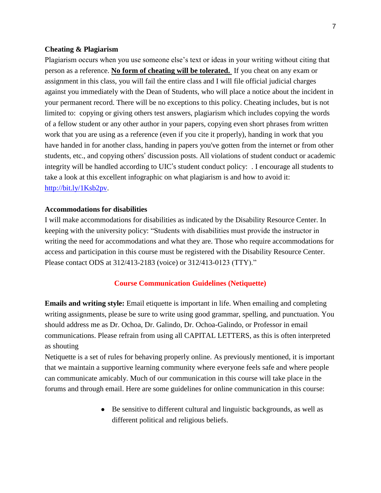### **Cheating & Plagiarism**

Plagiarism occurs when you use someone else's text or ideas in your writing without citing that person as a reference. **No form of cheating will be tolerated.** If you cheat on any exam or assignment in this class, you will fail the entire class and I will file official judicial charges against you immediately with the Dean of Students, who will place a notice about the incident in your permanent record. There will be no exceptions to this policy. Cheating includes, but is not limited to: copying or giving others test answers, plagiarism which includes copying the words of a fellow student or any other author in your papers, copying even short phrases from written work that you are using as a reference (even if you cite it properly), handing in work that you have handed in for another class, handing in papers you've gotten from the internet or from other students, etc., and copying others' discussion posts. All violations of student conduct or academic integrity will be handled according to UIC's student conduct policy: . I encourage all students to take a look at this excellent infographic on what plagiarism is and how to avoid it: http://bit.ly/1Ksb2pv.

### **Accommodations for disabilities**

I will make accommodations for disabilities as indicated by the Disability Resource Center. In keeping with the university policy: "Students with disabilities must provide the instructor in writing the need for accommodations and what they are. Those who require accommodations for access and participation in this course must be registered with the Disability Resource Center. Please contact ODS at 312/413-2183 (voice) or 312/413-0123 (TTY)."

### **Course Communication Guidelines (Netiquette)**

**Emails and writing style:** Email etiquette is important in life. When emailing and completing writing assignments, please be sure to write using good grammar, spelling, and punctuation. You should address me as Dr. Ochoa, Dr. Galindo, Dr. Ochoa-Galindo, or Professor in email communications. Please refrain from using all CAPITAL LETTERS, as this is often interpreted as shouting

Netiquette is a set of rules for behaving properly online. As previously mentioned, it is important that we maintain a supportive learning community where everyone feels safe and where people can communicate amicably. Much of our communication in this course will take place in the forums and through email. Here are some guidelines for online communication in this course:

> • Be sensitive to different cultural and linguistic backgrounds, as well as different political and religious beliefs.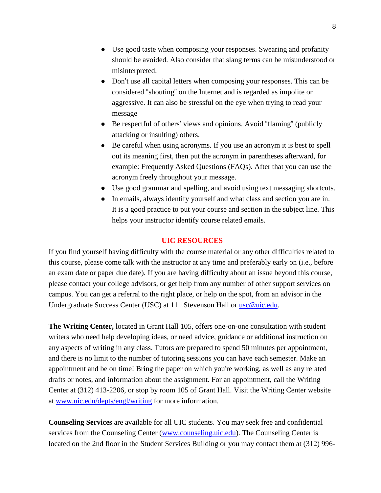- Use good taste when composing your responses. Swearing and profanity should be avoided. Also consider that slang terms can be misunderstood or misinterpreted.
- Don't use all capital letters when composing your responses. This can be considered "shouting" on the Internet and is regarded as impolite or aggressive. It can also be stressful on the eye when trying to read your message
- Be respectful of others' views and opinions. Avoid "flaming" (publicly attacking or insulting) others.
- Be careful when using acronyms. If you use an acronym it is best to spell out its meaning first, then put the acronym in parentheses afterward, for example: Frequently Asked Questions (FAQs). After that you can use the acronym freely throughout your message.
- Use good grammar and spelling, and avoid using text messaging shortcuts.
- In emails, always identify yourself and what class and section you are in. It is a good practice to put your course and section in the subject line. This helps your instructor identify course related emails.

## **UIC RESOURCES**

If you find yourself having difficulty with the course material or any other difficulties related to this course, please come talk with the instructor at any time and preferably early on (i.e., before an exam date or paper due date). If you are having difficulty about an issue beyond this course, please contact your college advisors, or get help from any number of other support services on campus. You can get a referral to the right place, or help on the spot, from an advisor in the Undergraduate Success Center (USC) at 111 Stevenson Hall or usc@uic.edu.

**The Writing Center,** located in Grant Hall 105, offers one-on-one consultation with student writers who need help developing ideas, or need advice, guidance or additional instruction on any aspects of writing in any class. Tutors are prepared to spend 50 minutes per appointment, and there is no limit to the number of tutoring sessions you can have each semester. Make an appointment and be on time! Bring the paper on which you're working, as well as any related drafts or notes, and information about the assignment. For an appointment, call the Writing Center at (312) 413-2206, or stop by room 105 of Grant Hall. Visit the Writing Center website at www.uic.edu/depts/engl/writing for more information.

**Counseling Services** are available for all UIC students. You may seek free and confidential services from the Counseling Center (www.counseling.uic.edu). The Counseling Center is located on the 2nd floor in the Student Services Building or you may contact them at (312) 996-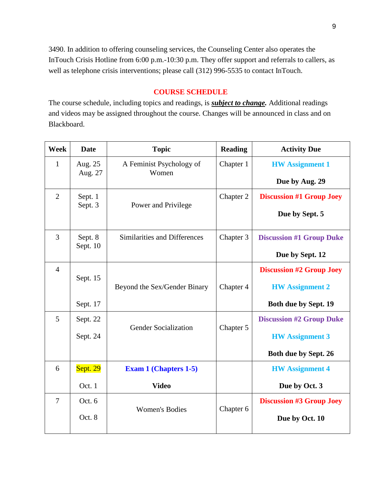3490. In addition to offering counseling services, the Counseling Center also operates the InTouch Crisis Hotline from 6:00 p.m.-10:30 p.m. They offer support and referrals to callers, as well as telephone crisis interventions; please call (312) 996-5535 to contact InTouch.

## **COURSE SCHEDULE**

The course schedule, including topics and readings, is *subject to change.* Additional readings and videos may be assigned throughout the course. Changes will be announced in class and on Blackboard.

| <b>Week</b>    | <b>Date</b>        | <b>Topic</b>                      | <b>Reading</b> | <b>Activity Due</b>             |
|----------------|--------------------|-----------------------------------|----------------|---------------------------------|
| $\mathbf{1}$   | Aug. 25<br>Aug. 27 | A Feminist Psychology of<br>Women | Chapter 1      | <b>HW</b> Assignment 1          |
|                |                    |                                   |                | Due by Aug. 29                  |
| $\overline{2}$ | Sept. 1<br>Sept. 3 | Power and Privilege               | Chapter 2      | <b>Discussion #1 Group Joey</b> |
|                |                    |                                   |                | Due by Sept. 5                  |
| 3              | Sept. 8            | Similarities and Differences      | Chapter 3      | <b>Discussion #1 Group Duke</b> |
|                | Sept. 10           |                                   |                | Due by Sept. 12                 |
| $\overline{4}$ |                    | Beyond the Sex/Gender Binary      |                | <b>Discussion #2 Group Joey</b> |
|                | Sept. 15           |                                   | Chapter 4      | <b>HW</b> Assignment 2          |
|                | Sept. 17           |                                   |                | Both due by Sept. 19            |
| 5              | Sept. 22           | <b>Gender Socialization</b>       | Chapter 5      | <b>Discussion #2 Group Duke</b> |
|                | Sept. 24           |                                   |                | <b>HW</b> Assignment 3          |
|                |                    |                                   |                | Both due by Sept. 26            |
| 6              | Sept. 29           | <b>Exam 1 (Chapters 1-5)</b>      |                | <b>HW</b> Assignment 4          |
|                | Oct. 1             | <b>Video</b>                      |                | Due by Oct. 3                   |
| 7              | Oct. 6             | <b>Women's Bodies</b>             | Chapter 6      | <b>Discussion #3 Group Joey</b> |
|                | Oct. 8             |                                   |                | Due by Oct. 10                  |